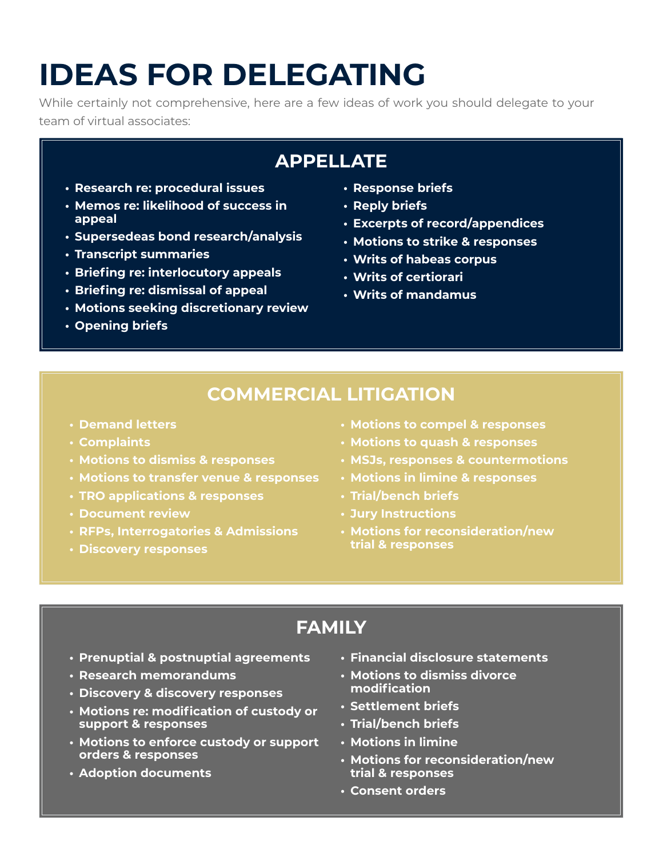# **IDEAS FOR DELEGATING**

While certainly not comprehensive, here are a few ideas of work you should delegate to your team of virtual associates:

# **APPELLATE**

- **• Research re: procedural issues**
- **• Memos re: likelihood of success in appeal**
- **• Supersedeas bond research/analysis**
- **• Transcript summaries**
- **• Briefing re: interlocutory appeals**
- **• Briefing re: dismissal of appeal**
- **• Motions seeking discretionary review**
- **• Opening briefs**
- **• Response briefs**
- **• Reply briefs**
- **• Excerpts of record/appendices**
- **• Motions to strike & responses**
- **• Writs of habeas corpus**
- **• Writs of certiorari**
- **• Writs of mandamus**

## **COMMERCIAL LITIGATION**

- **• Demand letters**
- **• Complaints**
- **• Motions to dismiss & responses**
- **• Motions to transfer venue & responses**
- **• TRO applications & responses**
- **• Document review**
- **• RFPs, Interrogatories & Admissions**
- **• Discovery responses**
- **• Motions to compel & responses**
- **• Motions to quash & responses**
- **• MSJs, responses & countermotions**
- **• Motions in limine & responses**
- **• Trial/bench briefs**
- **• Jury Instructions**
- **• Motions for reconsideration/new trial & responses**

# **FAMILY**

- **• Prenuptial & postnuptial agreements**
- **• Research memorandums**
- **• Discovery & discovery responses**
- **• Motions re: modification of custody or support & responses**
- **• Motions to enforce custody or support orders & responses**
- **• Adoption documents**
- **• Financial disclosure statements**
- **• Motions to dismiss divorce modification**
- **• Settlement briefs**
- **• Trial/bench briefs**
- **• Motions in limine**
- **• Motions for reconsideration/new trial & responses**
- **• Consent orders**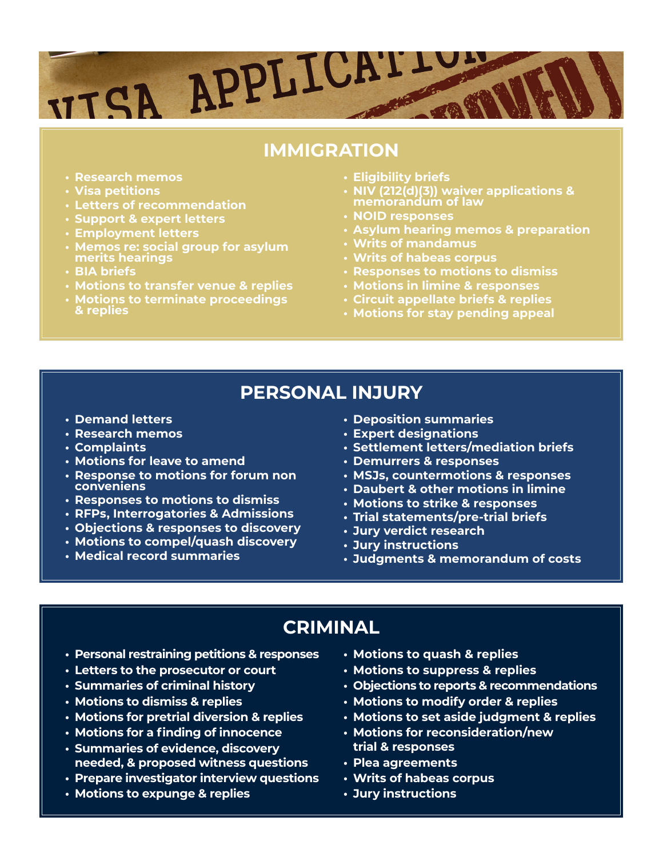# APPLICATION **VITSA**

#### **IMMIGRATION**

- **• Research memos**
- **• Visa petitions**
- **• Letters of recommendation**
- **• Support & expert letters**
- **• Employment letters**
- **• Memos re: social group for asylum merits hearings**
- **• BIA briefs**
- **• Motions to transfer venue & replies**
- **• Motions to terminate proceedings & replies**
- **• Eligibility briefs**
- **• NIV (212(d)(3)) waiver applications & memorandum of law**
- **• NOID responses**
- **• Asylum hearing memos & preparation**
- **• Writs of mandamus**
- **• Writs of habeas corpus**
- **• Responses to motions to dismiss**
- **• Motions in limine & responses**
- **• Circuit appellate briefs & replies**
- **• Motions for stay pending appeal**

#### **PERSONAL INJURY**

- **• Demand letters**
- **• Research memos**
- **• Complaints**
- **• Motions for leave to amend**
- **• Response to motions for forum non conveniens**
- **• Responses to motions to dismiss**
- **• RFPs, Interrogatories & Admissions**
- **• Objections & responses to discovery**
- **• Motions to compel/quash discovery**
- **• Medical record summaries**
- **• Deposition summaries**
- **• Expert designations**
- **• Settlement letters/mediation briefs**
- **• Demurrers & responses**
- **• MSJs, countermotions & responses**
- **• Daubert & other motions in limine**
- **• Motions to strike & responses**
- **• Trial statements/pre-trial briefs**
- **• Jury verdict research**
- **• Jury instructions**
- **• Judgments & memorandum of costs**

#### **CRIMINAL**

- **• Personal restraining petitions & responses**
- **• Letters to the prosecutor or court**
- **• Summaries of criminal history**
- **• Motions to dismiss & replies**
- **• Motions for pretrial diversion & replies**
- **• Motions for a finding of innocence**
- **• Summaries of evidence, discovery needed, & proposed witness questions**
- **• Prepare investigator interview questions**
- **• Motions to expunge & replies**
- **• Motions to quash & replies**
- **• Motions to suppress & replies**
- **• Objections to reports & recommendations**
- **• Motions to modify order & replies**
- **• Motions to set aside judgment & replies**
- **• Motions for reconsideration/new trial & responses**
- **• Plea agreements**
- **• Writs of habeas corpus**
- **• Jury instructions**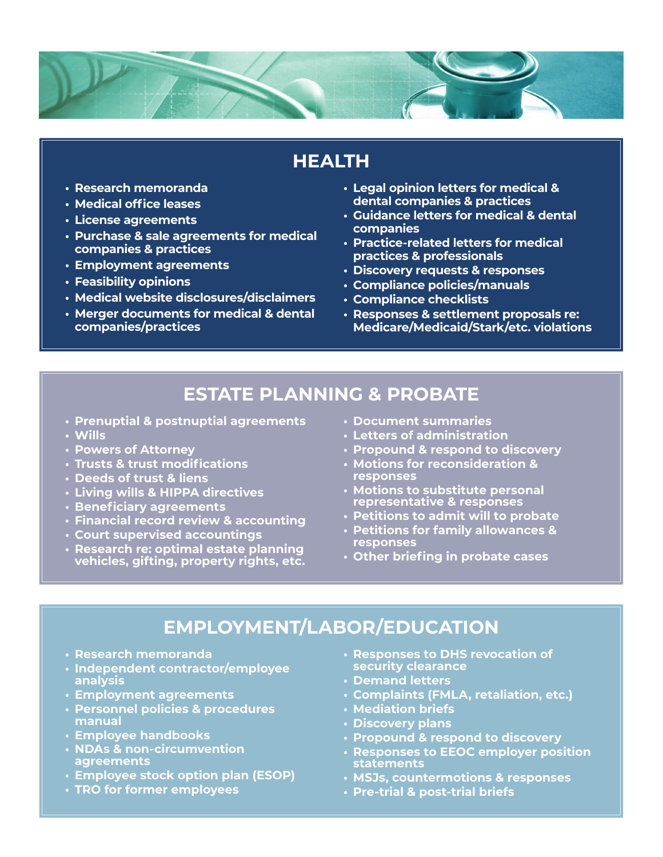

# **HEALTH**

- **• Research memoranda**
- **• Medical office leases**
- **• License agreements**
- **• Purchase & sale agreements for medical companies & practices**
- **• Employment agreements**
- **• Feasibility opinions**
- **• Medical website disclosures/disclaimers**
- **• Merger documents for medical & dental companies/practices**
- **• Legal opinion letters for medical & dental companies & practices**
- **• Guidance letters for medical & dental companies**
- **• Practice-related letters for medical practices & professionals**
- **• Discovery requests & responses**
- **• Compliance policies/manuals**
- **• Compliance checklists**
- **• Responses & settlement proposals re: Medicare/Medicaid/Stark/etc. violations**

#### **ESTATE PLANNING & PROBATE**

- **• Prenuptial & postnuptial agreements**
- **• Wills**
- **• Powers of Attorney**
- **• Trusts & trust modifications**
- **• Deeds of trust & liens**
- **• Living wills & HIPPA directives**
- **• Beneficiary agreements**
- **• Financial record review & accounting**
- **• Court supervised accountings**
- **• Research re: optimal estate planning vehicles, gifting, property rights, etc.**
- **• Document summaries**
- **• Letters of administration**
- **• Propound & respond to discovery**
- **• Motions for reconsideration & responses**
- **• Motions to substitute personal representative & responses**
- **• Petitions to admit will to probate**
- **• Petitions for family allowances & responses**
- **• Other briefing in probate cases**

#### **EMPLOYMENT/LABOR/EDUCATION**

- **• Research memoranda**
- **• Independent contractor/employee analysis**
- **• Employment agreements**
- **• Personnel policies & procedures manual**
- **• Employee handbooks**
- **• NDAs & non-circumvention agreements**
- **• Employee stock option plan (ESOP)**
- **• TRO for former employees**
- **• Responses to DHS revocation of security clearance**
- **• Demand letters**
- **• Complaints (FMLA, retaliation, etc.)**
- **• Mediation briefs**
- **• Discovery plans**
- **• Propound & respond to discovery**
- **• Responses to EEOC employer position statements**
- **• MSJs, countermotions & responses**
- **• Pre-trial & post-trial briefs**